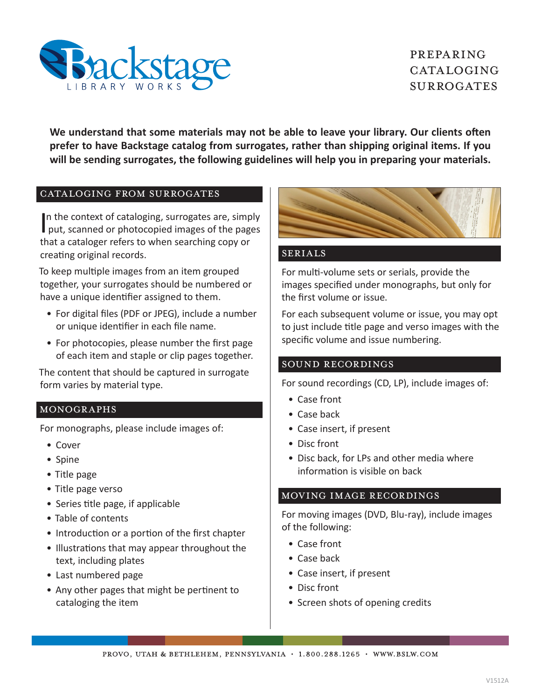

# Preparing CATALOGING **SURROGATES**

**We understand that some materials may not be able to leave your library. Our clients often prefer to have Backstage catalog from surrogates, rather than shipping original items. If you will be sending surrogates, the following guidelines will help you in preparing your materials.**

### Cataloging from surrogates

In the context of cataloging, surrogates are, simply<br>put, scanned or photocopied images of the pages In the context of cataloging, surrogates are, simply that a cataloger refers to when searching copy or creating original records.

To keep multiple images from an item grouped together, your surrogates should be numbered or have a unique identifier assigned to them.

- For digital files (PDF or JPEG), include a number or unique identifier in each file name.
- For photocopies, please number the first page of each item and staple or clip pages together.

The content that should be captured in surrogate form varies by material type.

## Monographs

For monographs, please include images of:

- Cover
- Spine
- Title page
- Title page verso
- Series title page, if applicable
- Table of contents
- Introduction or a portion of the first chapter
- Illustrations that may appear throughout the text, including plates
- Last numbered page
- Any other pages that might be pertinent to cataloging the item



## Serials

For multi-volume sets or serials, provide the images specified under monographs, but only for the first volume or issue.

For each subsequent volume or issue, you may opt to just include title page and verso images with the specific volume and issue numbering.

### Sound Recordings

For sound recordings (CD, LP), include images of:

- Case front
- Case back
- Case insert, if present
- Disc front
- Disc back, for LPs and other media where information is visible on back

#### Moving image Recordings

For moving images (DVD, Blu-ray), include images of the following:

- Case front
- Case back
- Case insert, if present
- Disc front
- Screen shots of opening credits